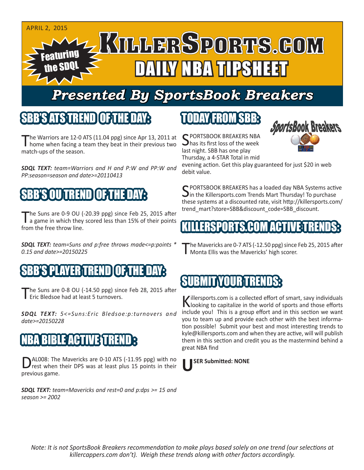

## *Presented By SportsBook Breakers*

#### SBB'S ATS TREN

The Warriors are 12-0 ATS (11.04 ppg) since Apr 13, 2011 at home when facing a team they beat in their previous two match-ups of the season.

*SDQL TEXT: team=Warriors and H and P:W and PP:W and PP:season=season and date>=20110413*

### SBB'S OU TREND OF THE DAY:

The Suns are 0-9 OU (-20.39 ppg) since Feb 25, 2015 after<br>a game in which they scored less than 15% of their points from the free throw line.

*SDQL TEXT: team=Suns and p:free throws made<=p:points \* 0.15 and date>=20150225*

#### AYER TREND

The Suns are 0-8 OU (-14.50 ppg) since Feb 28, 2015 after **Figure 3** Fric Bledsoe had at least 5 turnovers.

*SDQL TEXT: 5<=Suns:Eric Bledsoe:p:turnovers and date>=20150228*

#### IBLE ACTIVE STR

DAL008: The Mavericks are 0-10 ATS (-11.95 ppg) with no<br>rest when their DPS was at least plus 15 points in their previous game.

*SDQL TEXT: team=Mavericks and rest=0 and p:dps >= 15 and season >= 2002*

#### TODAY FROM SBB:

C PORTSBOOK BREAKERS NBA has its first loss of the week last night. SBB has one play Thursday, a 4-STAR Total in mid



evening action. Get this play guaranteed for just \$20 in web debit value.

C PORTSBOOK BREAKERS has a loaded day NBA Systems active  $\sum$  in the Killersports.com Trends Mart Thursday! To purchase these systems at a discounted rate, visit http://killersports.com/ trend\_mart?store=SBB&discount\_code=SBB\_discount.

#### KILLERSPORTS.COM ACTIVE TRENDS:

'he Mavericks are 0-7 ATS (-12.50 ppg) since Feb 25, 2015 after Monta Ellis was the Mavericks' high scorer.

### SUBMIT YOUR TRENDS:

Killersports.com is a collected effort of smart, savy individuals<br>Nooking to capitalize in the world of sports and those efforts include you! This is a group effort and in this section we want you to team up and provide each other with the best information possible! Submit your best and most interesting trends to kyle@killersports.com and when they are active, will will publish them in this section and credit you as the mastermind behind a great NBA find

#### **USER Submitted: NONE**

*Note: It is not SportsBook Breakers recommendation to make plays based solely on one trend (our selections at killercappers.com don't). Weigh these trends along with other factors accordingly.*